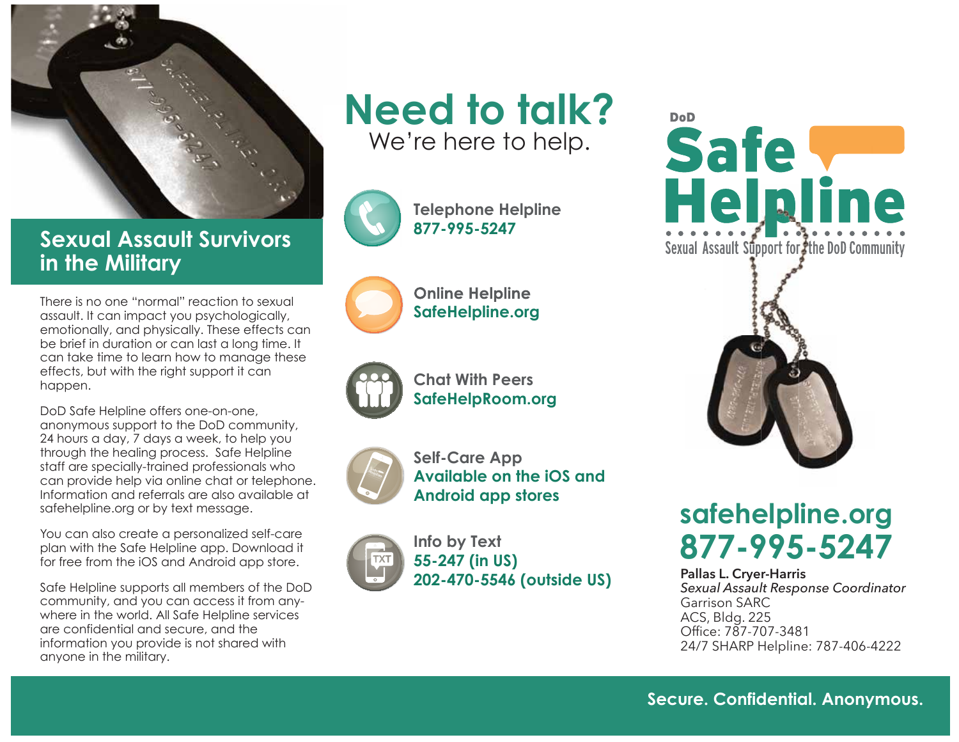

**Sexual Assault Survivors in the Military**

There is no one "normal" reaction to sexual assault. It can impact you psychologically, emotionally, and physically. These effects can be brief in duration or can last a long time. It can take time to learn how to manage these effects, but with the right support it can happen.

DoD Safe Helpline offers one-on-one, anonymous support to the DoD community, 24 hours a day, 7 days a week, to help you through the healing process. Safe Helpline staff are specially-trained professionals who can provide help via online chat or telephone. Information and referrals are also available at safehelpline.org or by text message.

You can also create a personalized self-care plan with the Safe Helpline app. Download it for free from the iOS and Android app store.

Safe Helpline supports all members of the DoD community, and you can access it from anywhere in the world. All Safe Helpline services are confidential and secure, and the information you provide is not shared with anyone in the military.

# **Need to talk?** We're here to help.



**Telephone Helpline 877-995-5247**



**Online Helpline SafeHelpline.org**



**Chat With Peers SafeHelpRoom.org**



**Self-Care App Available on the iOS and Android app stores**

**Info by Text 55-247 (in US) 202-470-5546 (outside US) Pallas L. Cryer-Harris** 





# **safehelpline.org 877-995-5247**

#### *Sexual Assault Response Coordinator*  Garrison SARC ACS, Bldg. 225 Office: 787-707-3481 24/7 SHARP Helpline: 787-406-4222

**Secure. Confidential. Anonymous.**